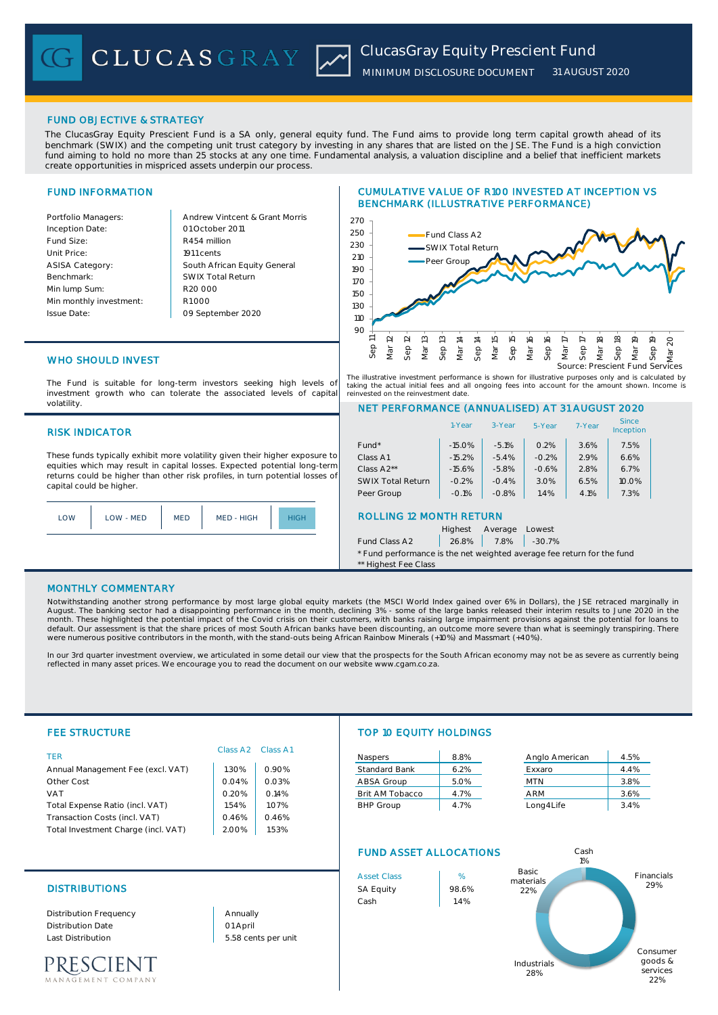# FUND OBJECTIVE & STRATEGY

The ClucasGray Equity Prescient Fund is a SA only, general equity fund. The Fund aims to provide long term capital growth ahead of its benchmark (SWIX) and the competing unit trust category by investing in any shares that are listed on the JSE. The Fund is a high conviction fund aiming to hold no more than 25 stocks at any one time. Fundamental analysis, a valuation discipline and a belief that inefficient markets create opportunities in mispriced assets underpin our process.

# FUND INFORMATION

Andrew Vintcent & Grant Morris R454 million South African Equity General 1911 cents R1 000 01 October 2011 09 September 2020 R20 000 SWIX Total Return

## CUMULATIVE VALUE OF R100 INVESTED AT INCEPTION VS BENCHMARK (ILLUSTRATIVE PERFORMANCE)



The illustrative investment performance is shown for illustrative purposes only and is calculated by taking the actual initial fees and all ongoing fees into account for the amount shown. Income is reinvested on the reinvestment date.

# WHO SHOULD INVEST

The Fund is suitable for long-term investors seeking high levels of investment growth who can tolerate the associated levels of capital volatility.

#### RISK INDICATOR

These funds typically exhibit more volatility given their higher exposure to equities which may result in capital losses. Expected potential long-term returns could be higher than other risk profiles, in turn potential losses of capital could be higher.



## NET PERFORMANCE (ANNUALISED) AT 31 AUGUST 2020 Fund\* 15.0% -5.1% 0.2% 3.6% 7.5% Class A1  $-15.2\%$   $-5.4\%$   $-0.2\%$  2.9% 6.6% Class A2\*\* | -15.6% | -5.8% | -0.6% | 2.8% | 6.7% SWIX Total Return | -0.2% | -0.4% | 3.0% | 6.5% | 10.0% Peer Group -0.1% -0.8% 1.4% 4.1% 7.3% ROLLING 12 MONTH RETURN Highest Average Lowest Since **Inception** 1-Year 3-Year 5-Year 7-Year

Fund Class A2 26.8% 7.8% -30.7%

\* Fund performance is the net weighted average fee return for the fund \*\* Highest Fee Class

### MONTHLY COMMENTARY

Notwithstanding another strong performance by most large global equity markets (the MSCI World Index gained over 6% in Dollars), the JSE retraced marginally in August. The banking sector had a disappointing performance in the month, declining 3% - some of the large banks released their interim results to June 2020 in the<br>month. These highlighted the potential impact of the Covid were numerous positive contributors in the month, with the stand-outs being African Rainbow Minerals (+10%) and Massmart (+40%).

In our 3rd quarter investment overview, we articulated in some detail our view that the prospects for the South African economy may not be as severe as currently being reflected in many asset prices. We encourage you to read the document on our website www.cgam.co.za.

| <b>FEE STRUCTURE</b>                |                      |          |                               | <b>TOP 10 EQUITY HOLDINGS</b> |                |      |  |
|-------------------------------------|----------------------|----------|-------------------------------|-------------------------------|----------------|------|--|
| <b>TFR</b>                          | Class A <sub>2</sub> | Class A1 | Naspers                       | 8.8%                          | Anglo American | 4.5% |  |
| Annual Management Fee (excl. VAT)   | 1.30%                | 0.90%    | <b>Standard Bank</b>          | 6.2%                          | Exxaro         | 4.4% |  |
| Other Cost                          | 0.04%                | 0.03%    | ABSA Group                    | 5.0%                          | MTN            | 3.8% |  |
| <b>VAT</b>                          | 0.20%                | 0.14%    | <b>Brit AM Tobacco</b>        | 4.7%                          | ARM            | 3.6% |  |
| Total Expense Ratio (incl. VAT)     | 1.54%                | 1.07%    | <b>BHP Group</b>              | 4.7%                          | Long4Life      | 3.4% |  |
| Transaction Costs (incl. VAT)       | 0.46%                | 0.46%    |                               |                               |                |      |  |
| Total Investment Charge (incl. VAT) | 2.00%                | 1.53%    |                               |                               |                |      |  |
|                                     |                      |          | <b>FUND ASSET ALLOCATIONS</b> |                               | Cash<br>1%     |      |  |

## DISTRIBUTIONS SA Equity 198.6%

Distribution Frequency Distribution Date Last Distribution 5.58 cents per unit

PRESCIENT .<br>EMENT COMPANY 01 April Annually

Asset Class 1 %  $\begin{array}{ccc} \text{Cash} & & \text{14\%} \\ \end{array}$